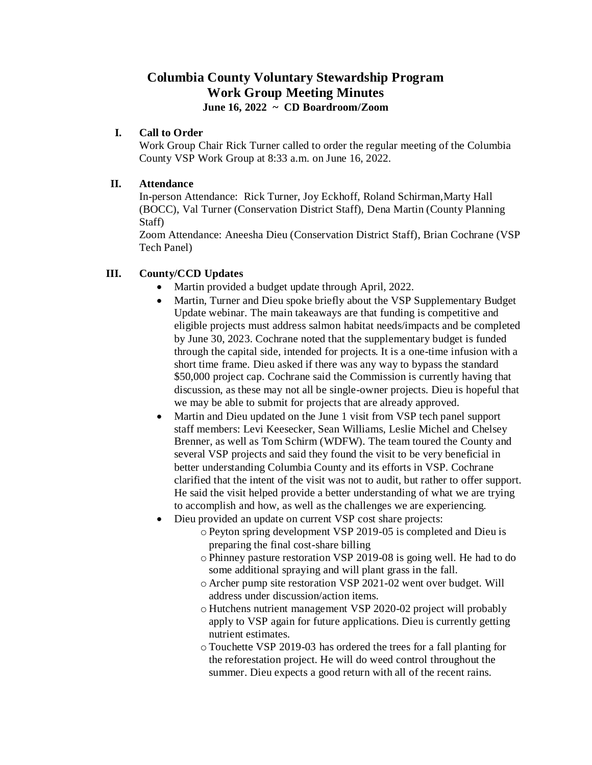# **Columbia County Voluntary Stewardship Program Work Group Meeting Minutes June 16, 2022 ~ CD Boardroom/Zoom**

#### **I. Call to Order**

Work Group Chair Rick Turner called to order the regular meeting of the Columbia County VSP Work Group at 8:33 a.m. on June 16, 2022.

#### **II. Attendance**

In-person Attendance: Rick Turner, Joy Eckhoff, Roland Schirman,Marty Hall (BOCC), Val Turner (Conservation District Staff), Dena Martin (County Planning Staff)

Zoom Attendance: Aneesha Dieu (Conservation District Staff), Brian Cochrane (VSP Tech Panel)

#### **III. County/CCD Updates**

- Martin provided a budget update through April, 2022.
- Martin, Turner and Dieu spoke briefly about the VSP Supplementary Budget Update webinar. The main takeaways are that funding is competitive and eligible projects must address salmon habitat needs/impacts and be completed by June 30, 2023. Cochrane noted that the supplementary budget is funded through the capital side, intended for projects. It is a one-time infusion with a short time frame. Dieu asked if there was any way to bypass the standard \$50,000 project cap. Cochrane said the Commission is currently having that discussion, as these may not all be single-owner projects. Dieu is hopeful that we may be able to submit for projects that are already approved.
- Martin and Dieu updated on the June 1 visit from VSP tech panel support staff members: Levi Keesecker, Sean Williams, Leslie Michel and Chelsey Brenner, as well as Tom Schirm (WDFW). The team toured the County and several VSP projects and said they found the visit to be very beneficial in better understanding Columbia County and its efforts in VSP. Cochrane clarified that the intent of the visit was not to audit, but rather to offer support. He said the visit helped provide a better understanding of what we are trying to accomplish and how, as well as the challenges we are experiencing.
- Dieu provided an update on current VSP cost share projects:
	- o Peyton spring development VSP 2019-05 is completed and Dieu is preparing the final cost-share billing
	- o Phinney pasture restoration VSP 2019-08 is going well. He had to do some additional spraying and will plant grass in the fall.
	- o Archer pump site restoration VSP 2021-02 went over budget. Will address under discussion/action items.
	- o Hutchens nutrient management VSP 2020-02 project will probably apply to VSP again for future applications. Dieu is currently getting nutrient estimates.
	- o Touchette VSP 2019-03 has ordered the trees for a fall planting for the reforestation project. He will do weed control throughout the summer. Dieu expects a good return with all of the recent rains.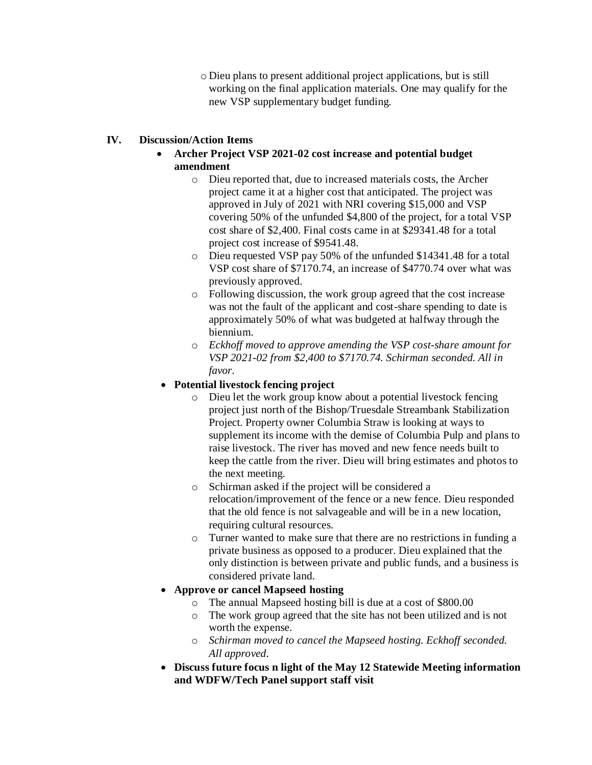o Dieu plans to present additional project applications, but is still working on the final application materials. One may qualify for the new VSP supplementary budget funding.

# **IV. Discussion/Action Items**

- **Archer Project VSP 2021-02 cost increase and potential budget amendment**
	- o Dieu reported that, due to increased materials costs, the Archer project came it at a higher cost that anticipated. The project was approved in July of 2021 with NRI covering \$15,000 and VSP covering 50% of the unfunded \$4,800 of the project, for a total VSP cost share of \$2,400. Final costs came in at \$29341.48 for a total project cost increase of \$9541.48.
	- o Dieu requested VSP pay 50% of the unfunded \$14341.48 for a total VSP cost share of \$7170.74, an increase of \$4770.74 over what was previously approved.
	- o Following discussion, the work group agreed that the cost increase was not the fault of the applicant and cost-share spending to date is approximately 50% of what was budgeted at halfway through the biennium.
	- o *Eckhoff moved to approve amending the VSP cost-share amount for VSP 2021-02 from \$2,400 to \$7170.74. Schirman seconded. All in favor.*

## **Potential livestock fencing project**

- o Dieu let the work group know about a potential livestock fencing project just north of the Bishop/Truesdale Streambank Stabilization Project. Property owner Columbia Straw is looking at ways to supplement its income with the demise of Columbia Pulp and plans to raise livestock. The river has moved and new fence needs built to keep the cattle from the river. Dieu will bring estimates and photos to the next meeting.
- o Schirman asked if the project will be considered a relocation/improvement of the fence or a new fence. Dieu responded that the old fence is not salvageable and will be in a new location, requiring cultural resources.
- o Turner wanted to make sure that there are no restrictions in funding a private business as opposed to a producer. Dieu explained that the only distinction is between private and public funds, and a business is considered private land.

#### **Approve or cancel Mapseed hosting**

- o The annual Mapseed hosting bill is due at a cost of \$800.00
- o The work group agreed that the site has not been utilized and is not worth the expense.
- o *Schirman moved to cancel the Mapseed hosting. Eckhoff seconded. All approved.*
- **Discuss future focus n light of the May 12 Statewide Meeting information and WDFW/Tech Panel support staff visit**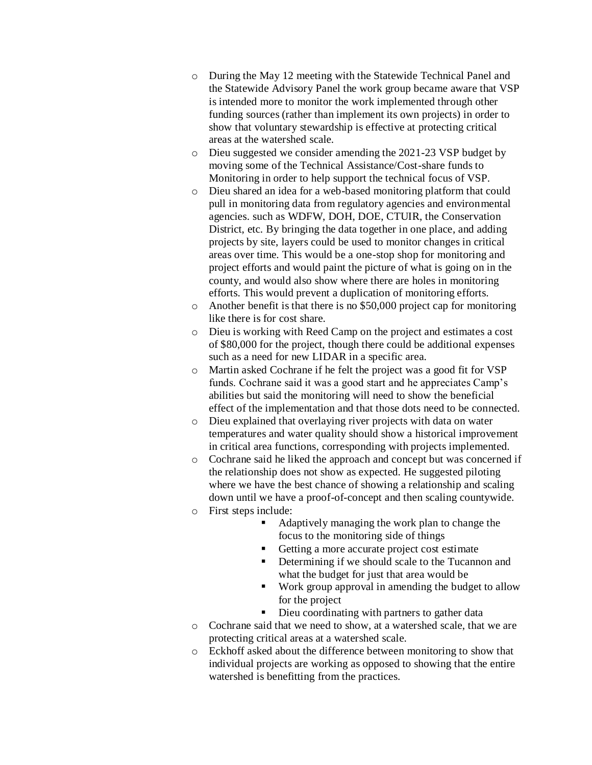- o During the May 12 meeting with the Statewide Technical Panel and the Statewide Advisory Panel the work group became aware that VSP is intended more to monitor the work implemented through other funding sources (rather than implement its own projects) in order to show that voluntary stewardship is effective at protecting critical areas at the watershed scale.
- o Dieu suggested we consider amending the 2021-23 VSP budget by moving some of the Technical Assistance/Cost-share funds to Monitoring in order to help support the technical focus of VSP.
- o Dieu shared an idea for a web-based monitoring platform that could pull in monitoring data from regulatory agencies and environmental agencies. such as WDFW, DOH, DOE, CTUIR, the Conservation District, etc. By bringing the data together in one place, and adding projects by site, layers could be used to monitor changes in critical areas over time. This would be a one-stop shop for monitoring and project efforts and would paint the picture of what is going on in the county, and would also show where there are holes in monitoring efforts. This would prevent a duplication of monitoring efforts.
- o Another benefit is that there is no \$50,000 project cap for monitoring like there is for cost share.
- o Dieu is working with Reed Camp on the project and estimates a cost of \$80,000 for the project, though there could be additional expenses such as a need for new LIDAR in a specific area.
- o Martin asked Cochrane if he felt the project was a good fit for VSP funds. Cochrane said it was a good start and he appreciates Camp's abilities but said the monitoring will need to show the beneficial effect of the implementation and that those dots need to be connected.
- o Dieu explained that overlaying river projects with data on water temperatures and water quality should show a historical improvement in critical area functions, corresponding with projects implemented.
- o Cochrane said he liked the approach and concept but was concerned if the relationship does not show as expected. He suggested piloting where we have the best chance of showing a relationship and scaling down until we have a proof-of-concept and then scaling countywide. o First steps include:
	- Adaptively managing the work plan to change the focus to the monitoring side of things
	- Getting a more accurate project cost estimate
	- **•** Determining if we should scale to the Tucannon and what the budget for just that area would be
	- Work group approval in amending the budget to allow for the project
	- Dieu coordinating with partners to gather data
- o Cochrane said that we need to show, at a watershed scale, that we are protecting critical areas at a watershed scale.
- o Eckhoff asked about the difference between monitoring to show that individual projects are working as opposed to showing that the entire watershed is benefitting from the practices.